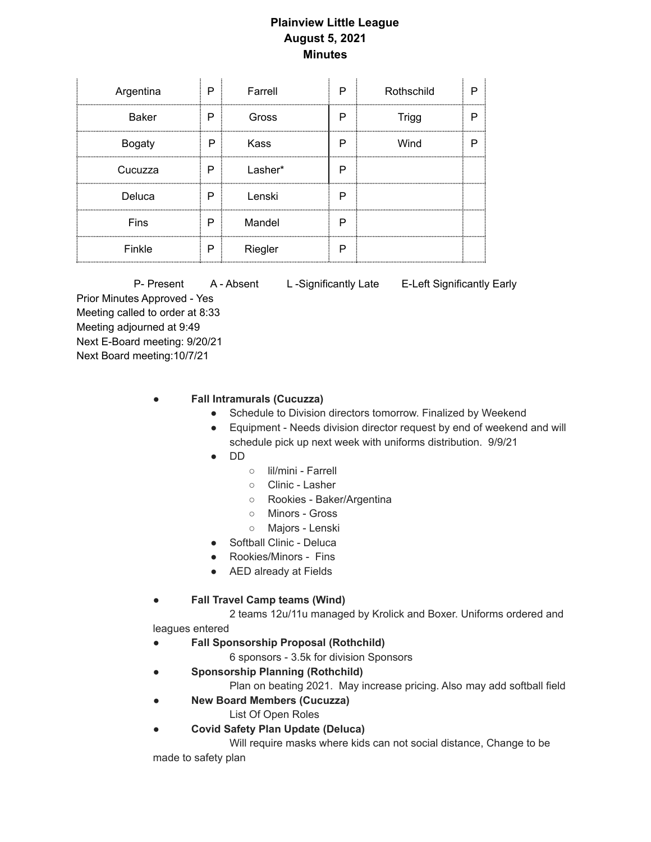## **Plainview Little League August 5, 2021 Minutes**

| Argentina     | P.    | Farrell | P | Rothschild |  |
|---------------|-------|---------|---|------------|--|
| <b>Baker</b>  | P     | Gross   | P | Trigg      |  |
| <b>Bogaty</b> | P     | Kass    | Р | Wind       |  |
| Cucuzza       | P<br> | Lasher* | Р |            |  |
| Deluca        | P     | Lenski  | Р |            |  |
| Fins          | P     | Mandel  | Р |            |  |
| Finkle        | P     | Riegler | Р |            |  |

P- Present A - Absent L - Significantly Late E-Left Significantly Early Prior Minutes Approved - Yes Meeting called to order at 8:33 Meeting adjourned at 9:49 Next E-Board meeting: 9/20/21 Next Board meeting:10/7/21

## ● **Fall Intramurals (Cucuzza)**

- Schedule to Division directors tomorrow. Finalized by Weekend
- Equipment Needs division director request by end of weekend and will schedule pick up next week with uniforms distribution. 9/9/21
- DD
	- lil/mini Farrell
	- Clinic Lasher
	- Rookies Baker/Argentina
	- Minors Gross
	- Majors Lenski
- Softball Clinic Deluca
- Rookies/Minors Fins
- AED already at Fields

## ● **Fall Travel Camp teams (Wind)**

2 teams 12u/11u managed by Krolick and Boxer. Uniforms ordered and leagues entered

- **Fall Sponsorship Proposal (Rothchild)**
	- 6 sponsors 3.5k for division Sponsors
- **Sponsorship Planning (Rothchild)**

Plan on beating 2021. May increase pricing. Also may add softball field

- **New Board Members (Cucuzza)**
	- List Of Open Roles
- **Covid Safety Plan Update (Deluca)**

Will require masks where kids can not social distance, Change to be

made to safety plan